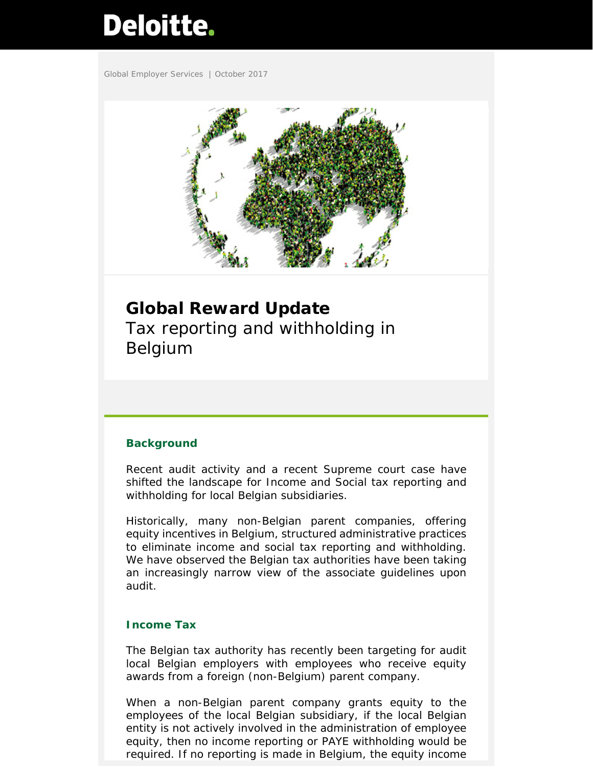# **Deloitte.**

Global Employer Services | October 2017



**Global Reward Update**  Tax reporting and withholding in Belgium

### **Background**

Recent audit activity and a recent Supreme court case have shifted the landscape for Income and Social tax reporting and withholding for local Belgian subsidiaries.

Historically, many non-Belgian parent companies, offering equity incentives in Belgium, structured administrative practices to eliminate income and social tax reporting and withholding. We have observed the Belgian tax authorities have been taking an increasingly narrow view of the associate guidelines upon audit.

#### **Income Tax**

The Belgian tax authority has recently been targeting for audit local Belgian employers with employees who receive equity awards from a foreign (non-Belgium) parent company.

When a non-Belgian parent company grants equity to the employees of the local Belgian subsidiary, if the local Belgian entity is not actively involved in the administration of employee equity, then no income reporting or PAYE withholding would be required. If no reporting is made in Belgium, the equity income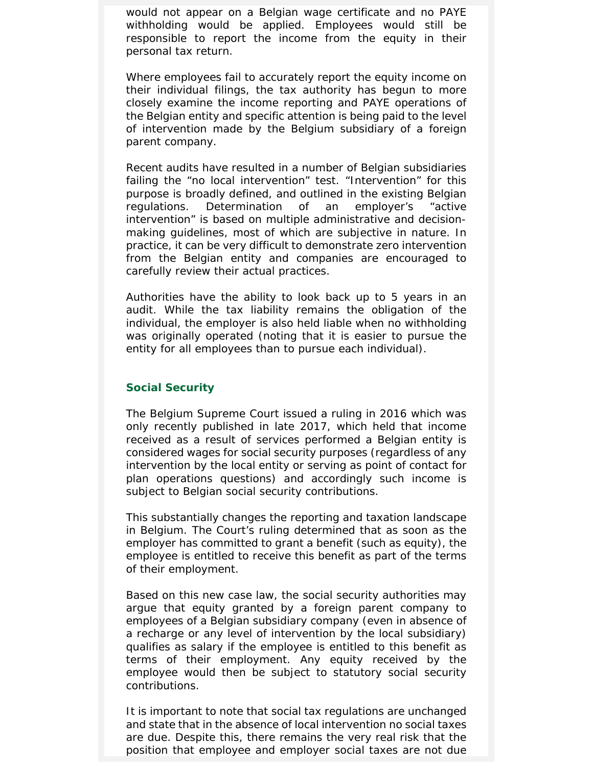would not appear on a Belgian wage certificate and no PAYE withholding would be applied. Employees would still be responsible to report the income from the equity in their personal tax return.

Where employees fail to accurately report the equity income on their individual filings, the tax authority has begun to more closely examine the income reporting and PAYE operations of the Belgian entity and specific attention is being paid to the level of intervention made by the Belgium subsidiary of a foreign parent company.

Recent audits have resulted in a number of Belgian subsidiaries failing the "no local intervention" test. "Intervention" for this purpose is broadly defined, and outlined in the existing Belgian regulations. Determination of an employer's "active intervention" is based on multiple administrative and decisionmaking guidelines, most of which are subjective in nature. In practice, it can be very difficult to demonstrate zero intervention from the Belgian entity and companies are encouraged to carefully review their actual practices.

Authorities have the ability to look back up to 5 years in an audit. While the tax liability remains the obligation of the individual, the employer is also held liable when no withholding was originally operated (noting that it is easier to pursue the entity for all employees than to pursue each individual).

#### **Social Security**

The Belgium Supreme Court issued a ruling in 2016 which was only recently published in late 2017, which held that income received as a result of services performed a Belgian entity is considered wages for social security purposes (regardless of any intervention by the local entity or serving as point of contact for plan operations questions) and accordingly such income is subject to Belgian social security contributions.

This substantially changes the reporting and taxation landscape in Belgium. The Court's ruling determined that as soon as the employer has committed to grant a benefit (such as equity), the employee is entitled to receive this benefit as part of the terms of their employment.

Based on this new case law, the social security authorities may argue that equity granted by a foreign parent company to employees of a Belgian subsidiary company (even in absence of a recharge or any level of intervention by the local subsidiary) qualifies as salary if the employee is entitled to this benefit as terms of their employment. Any equity received by the employee would then be subject to statutory social security contributions.

It is important to note that social tax regulations are unchanged and state that in the absence of local intervention no social taxes are due. Despite this, there remains the very real risk that the position that employee and employer social taxes are not due